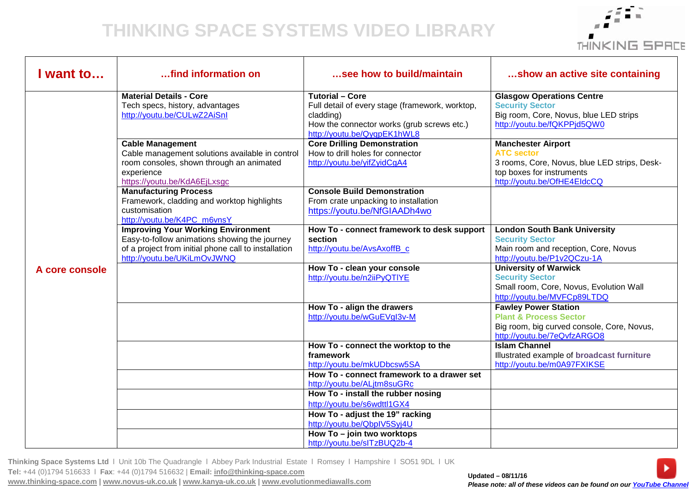## **THINKING SPACE SYSTEMS VIDEO LIBRARY**



| I want to      | find information on                                                                                                                                                               | see how to build/maintain                                                                                                                                           | show an active site containing                                                                                                                             |
|----------------|-----------------------------------------------------------------------------------------------------------------------------------------------------------------------------------|---------------------------------------------------------------------------------------------------------------------------------------------------------------------|------------------------------------------------------------------------------------------------------------------------------------------------------------|
| A core console | <b>Material Details - Core</b><br>Tech specs, history, advantages<br>http://youtu.be/CULwZ2AiSnl                                                                                  | <b>Tutorial - Core</b><br>Full detail of every stage (framework, worktop,<br>cladding)<br>How the connector works (grub screws etc.)<br>http://youtu.be/QyqpEK1hWL8 | <b>Glasgow Operations Centre</b><br><b>Security Sector</b><br>Big room, Core, Novus, blue LED strips<br>http://youtu.be/fQKPPjd5QW0                        |
|                | <b>Cable Management</b><br>Cable management solutions available in control<br>room consoles, shown through an animated<br>experience<br>https://youtu.be/KdA6EjLxsgc              | <b>Core Drilling Demonstration</b><br>How to drill holes for connector<br>http://youtu.be/yifZyidCgA4                                                               | <b>Manchester Airport</b><br><b>ATC sector</b><br>3 rooms, Core, Novus, blue LED strips, Desk-<br>top boxes for instruments<br>http://youtu.be/OfHE4EIdcCQ |
|                | <b>Manufacturing Process</b><br>Framework, cladding and worktop highlights<br>customisation<br>http://youtu.be/K4PC m6vnsY                                                        | <b>Console Build Demonstration</b><br>From crate unpacking to installation<br>https://youtu.be/NfGIAADh4wo                                                          |                                                                                                                                                            |
|                | <b>Improving Your Working Environment</b><br>Easy-to-follow animations showing the journey<br>of a project from initial phone call to installation<br>http://youtu.be/UKiLmOvJWNQ | How To - connect framework to desk support<br>section<br>http://youtu.be/AvsAxoffB c                                                                                | <b>London South Bank University</b><br><b>Security Sector</b><br>Main room and reception, Core, Novus<br>http://youtu.be/P1v2QCzu-1A                       |
|                |                                                                                                                                                                                   | How To - clean your console<br>http://youtu.be/n2iiPyQTIYE                                                                                                          | <b>University of Warwick</b><br><b>Security Sector</b><br>Small room, Core, Novus, Evolution Wall<br>http://youtu.be/MVFCp89LTDQ                           |
|                |                                                                                                                                                                                   | How To - align the drawers<br>http://youtu.be/wGuEVgl3v-M                                                                                                           | <b>Fawley Power Station</b><br><b>Plant &amp; Process Sector</b><br>Big room, big curved console, Core, Novus,<br>http://youtu.be/7eQvfzARGO8              |
|                |                                                                                                                                                                                   | How To - connect the worktop to the<br>framework<br>http://youtu.be/mkUDbcsw5SA                                                                                     | <b>Islam Channel</b><br>Illustrated example of broadcast furniture<br>http://youtu.be/m0A97FXIKSE                                                          |
|                |                                                                                                                                                                                   | How To - connect framework to a drawer set<br>http://youtu.be/ALjtm8suGRc<br>How To - install the rubber nosing<br>http://youtu.be/s6wdttl1GX4                      |                                                                                                                                                            |
|                |                                                                                                                                                                                   | How To - adjust the 19" racking<br>http://youtu.be/QbpIV5Syj4U<br>How To - join two worktops                                                                        |                                                                                                                                                            |
|                |                                                                                                                                                                                   | http://youtu.be/slTzBUQ2b-4                                                                                                                                         |                                                                                                                                                            |

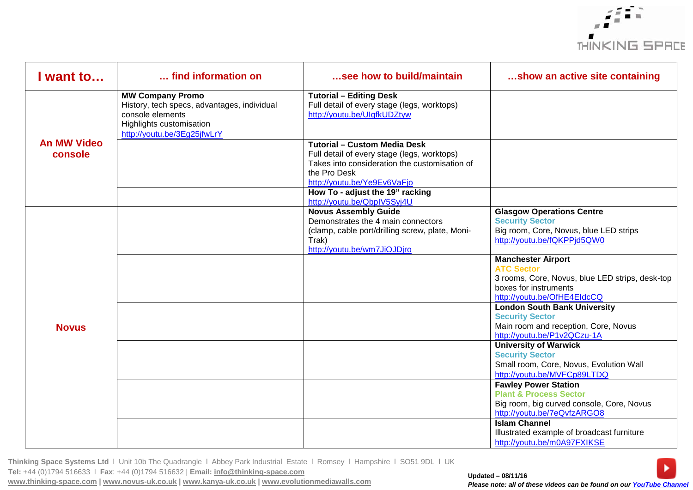

| I want to                     | find information on                                                                                                                                   | see how to build/maintain                                                                                                                                                          | show an active site containing                                                                                                                            |
|-------------------------------|-------------------------------------------------------------------------------------------------------------------------------------------------------|------------------------------------------------------------------------------------------------------------------------------------------------------------------------------------|-----------------------------------------------------------------------------------------------------------------------------------------------------------|
| <b>An MW Video</b><br>console | <b>MW Company Promo</b><br>History, tech specs, advantages, individual<br>console elements<br>Highlights customisation<br>http://youtu.be/3Eg25jfwLrY | <b>Tutorial - Editing Desk</b><br>Full detail of every stage (legs, worktops)<br>http://youtu.be/UlqfkUDZtyw                                                                       |                                                                                                                                                           |
|                               |                                                                                                                                                       | <b>Tutorial - Custom Media Desk</b><br>Full detail of every stage (legs, worktops)<br>Takes into consideration the customisation of<br>the Pro Desk<br>http://youtu.be/Ye9Ev6VaFjo |                                                                                                                                                           |
|                               |                                                                                                                                                       | How To - adjust the 19" racking<br>http://youtu.be/QbpIV5Syj4U                                                                                                                     |                                                                                                                                                           |
| <b>Novus</b>                  |                                                                                                                                                       | <b>Novus Assembly Guide</b><br>Demonstrates the 4 main connectors<br>(clamp, cable port/drilling screw, plate, Moni-<br>Trak)<br>http://youtu.be/wm7JiOJDjro                       | <b>Glasgow Operations Centre</b><br><b>Security Sector</b><br>Big room, Core, Novus, blue LED strips<br>http://youtu.be/fQKPPjd5QW0                       |
|                               |                                                                                                                                                       |                                                                                                                                                                                    | <b>Manchester Airport</b><br><b>ATC Sector</b><br>3 rooms, Core, Novus, blue LED strips, desk-top<br>boxes for instruments<br>http://youtu.be/OfHE4EIdcCQ |
|                               |                                                                                                                                                       |                                                                                                                                                                                    | <b>London South Bank University</b><br><b>Security Sector</b><br>Main room and reception, Core, Novus<br>http://youtu.be/P1v2QCzu-1A                      |
|                               |                                                                                                                                                       |                                                                                                                                                                                    | <b>University of Warwick</b><br><b>Security Sector</b><br>Small room, Core, Novus, Evolution Wall<br>http://youtu.be/MVFCp89LTDQ                          |
|                               |                                                                                                                                                       |                                                                                                                                                                                    | <b>Fawley Power Station</b><br><b>Plant &amp; Process Sector</b><br>Big room, big curved console, Core, Novus<br>http://youtu.be/7eQvfzARGO8              |
|                               |                                                                                                                                                       |                                                                                                                                                                                    | <b>Islam Channel</b><br>Illustrated example of broadcast furniture<br>http://youtu.be/m0A97FXIKSE                                                         |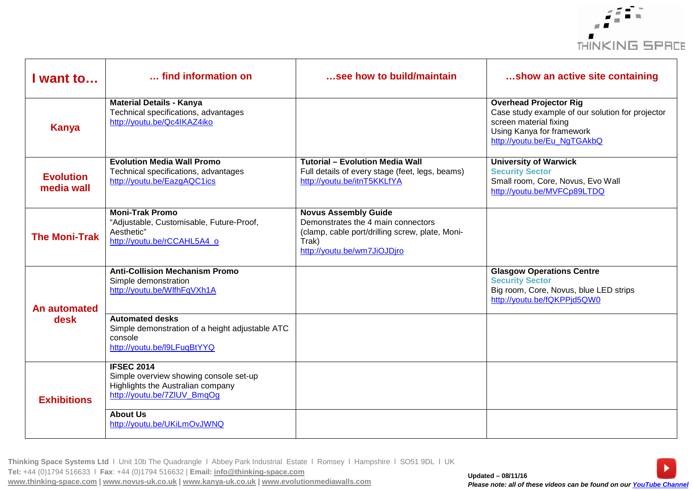

| I want to                      | find information on                                                                                                             | see how to build/maintain                                                                                                                                    | show an active site containing                                                                                                                                          |
|--------------------------------|---------------------------------------------------------------------------------------------------------------------------------|--------------------------------------------------------------------------------------------------------------------------------------------------------------|-------------------------------------------------------------------------------------------------------------------------------------------------------------------------|
| <b>Kanya</b>                   | <b>Material Details - Kanya</b><br>Technical specifications, advantages<br>http://youtu.be/Qc4IKAZ4iko                          |                                                                                                                                                              | <b>Overhead Projector Rig</b><br>Case study example of our solution for projector<br>screen material fixing<br>Using Kanya for framework<br>http://youtu.be/Eu_NgTGAkbQ |
| <b>Evolution</b><br>media wall | <b>Evolution Media Wall Promo</b><br>Technical specifications, advantages<br>http://youtu.be/EazgAQC1ics                        | <b>Tutorial - Evolution Media Wall</b><br>Full details of every stage (feet, legs, beams)<br>http://youtu.be/itnT5KKLfYA                                     | <b>University of Warwick</b><br><b>Security Sector</b><br>Small room, Core, Novus, Evo Wall<br>http://youtu.be/MVFCp89LTDQ                                              |
| <b>The Moni-Trak</b>           | <b>Moni-Trak Promo</b><br>"Adjustable, Customisable, Future-Proof,<br>Aesthetic"<br>http://youtu.be/rCCAHL5A4_o                 | <b>Novus Assembly Guide</b><br>Demonstrates the 4 main connectors<br>(clamp, cable port/drilling screw, plate, Moni-<br>Trak)<br>http://youtu.be/wm7JiOJDjro |                                                                                                                                                                         |
| An automated<br>desk           | <b>Anti-Collision Mechanism Promo</b><br>Simple demonstration<br>http://youtu.be/WlfhFqVXh1A                                    |                                                                                                                                                              | <b>Glasgow Operations Centre</b><br><b>Security Sector</b><br>Big room, Core, Novus, blue LED strips<br>http://youtu.be/fQKPPjd5QW0                                     |
|                                | <b>Automated desks</b><br>Simple demonstration of a height adjustable ATC<br>console<br>http://youtu.be/l9LFuqBtYYQ             |                                                                                                                                                              |                                                                                                                                                                         |
| <b>Exhibitions</b>             | <b>IFSEC 2014</b><br>Simple overview showing console set-up<br>Highlights the Australian company<br>http://youtu.be/7ZIUV_BmqOg |                                                                                                                                                              |                                                                                                                                                                         |
|                                | <b>About Us</b><br>http://youtu.be/UKiLmOvJWNQ                                                                                  |                                                                                                                                                              |                                                                                                                                                                         |